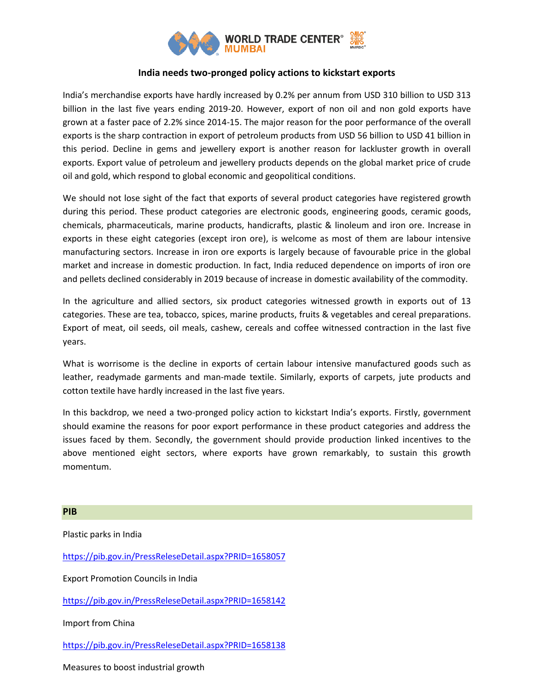

## **India needs two-pronged policy actions to kickstart exports**

India's merchandise exports have hardly increased by 0.2% per annum from USD 310 billion to USD 313 billion in the last five years ending 2019-20. However, export of non oil and non gold exports have grown at a faster pace of 2.2% since 2014-15. The major reason for the poor performance of the overall exports is the sharp contraction in export of petroleum products from USD 56 billion to USD 41 billion in this period. Decline in gems and jewellery export is another reason for lackluster growth in overall exports. Export value of petroleum and jewellery products depends on the global market price of crude oil and gold, which respond to global economic and geopolitical conditions.

We should not lose sight of the fact that exports of several product categories have registered growth during this period. These product categories are electronic goods, engineering goods, ceramic goods, chemicals, pharmaceuticals, marine products, handicrafts, plastic & linoleum and iron ore. Increase in exports in these eight categories (except iron ore), is welcome as most of them are labour intensive manufacturing sectors. Increase in iron ore exports is largely because of favourable price in the global market and increase in domestic production. In fact, India reduced dependence on imports of iron ore and pellets declined considerably in 2019 because of increase in domestic availability of the commodity.

In the agriculture and allied sectors, six product categories witnessed growth in exports out of 13 categories. These are tea, tobacco, spices, marine products, fruits & vegetables and cereal preparations. Export of meat, oil seeds, oil meals, cashew, cereals and coffee witnessed contraction in the last five years.

What is worrisome is the decline in exports of certain labour intensive manufactured goods such as leather, readymade garments and man-made textile. Similarly, exports of carpets, jute products and cotton textile have hardly increased in the last five years.

In this backdrop, we need a two-pronged policy action to kickstart India's exports. Firstly, government should examine the reasons for poor export performance in these product categories and address the issues faced by them. Secondly, the government should provide production linked incentives to the above mentioned eight sectors, where exports have grown remarkably, to sustain this growth momentum.

## **PIB**

Plastic parks in India

<https://pib.gov.in/PressReleseDetail.aspx?PRID=1658057>

Export Promotion Councils in India

<https://pib.gov.in/PressReleseDetail.aspx?PRID=1658142>

Import from China

<https://pib.gov.in/PressReleseDetail.aspx?PRID=1658138>

Measures to boost industrial growth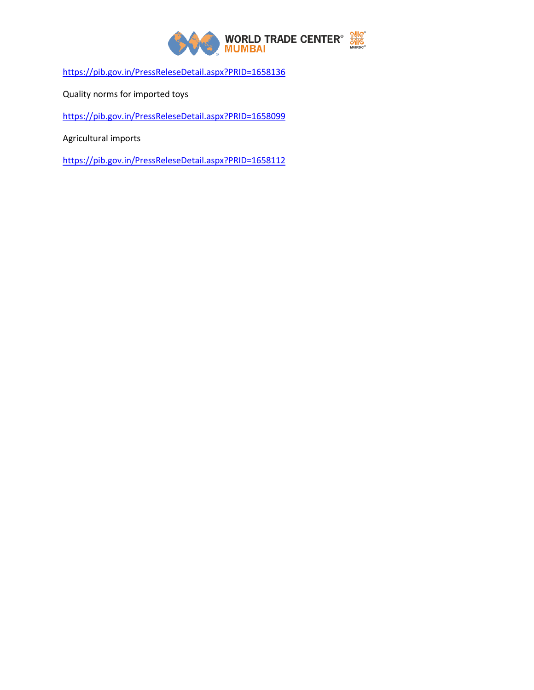

<https://pib.gov.in/PressReleseDetail.aspx?PRID=1658136>

Quality norms for imported toys

<https://pib.gov.in/PressReleseDetail.aspx?PRID=1658099>

Agricultural imports

<https://pib.gov.in/PressReleseDetail.aspx?PRID=1658112>